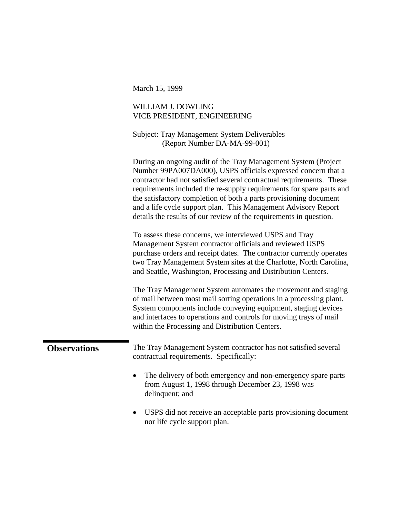|                     | March 15, 1999                                                                                                                                                                                                                                                                                                                                                                                                                                                                                |
|---------------------|-----------------------------------------------------------------------------------------------------------------------------------------------------------------------------------------------------------------------------------------------------------------------------------------------------------------------------------------------------------------------------------------------------------------------------------------------------------------------------------------------|
|                     | WILLIAM J. DOWLING<br>VICE PRESIDENT, ENGINEERING                                                                                                                                                                                                                                                                                                                                                                                                                                             |
|                     | <b>Subject: Tray Management System Deliverables</b><br>(Report Number DA-MA-99-001)                                                                                                                                                                                                                                                                                                                                                                                                           |
|                     | During an ongoing audit of the Tray Management System (Project)<br>Number 99PA007DA000), USPS officials expressed concern that a<br>contractor had not satisfied several contractual requirements. These<br>requirements included the re-supply requirements for spare parts and<br>the satisfactory completion of both a parts provisioning document<br>and a life cycle support plan. This Management Advisory Report<br>details the results of our review of the requirements in question. |
|                     | To assess these concerns, we interviewed USPS and Tray<br>Management System contractor officials and reviewed USPS<br>purchase orders and receipt dates. The contractor currently operates<br>two Tray Management System sites at the Charlotte, North Carolina,<br>and Seattle, Washington, Processing and Distribution Centers.                                                                                                                                                             |
|                     | The Tray Management System automates the movement and staging<br>of mail between most mail sorting operations in a processing plant.<br>System components include conveying equipment, staging devices<br>and interfaces to operations and controls for moving trays of mail<br>within the Processing and Distribution Centers.                                                                                                                                                               |
| <b>Observations</b> | The Tray Management System contractor has not satisfied several<br>contractual requirements. Specifically:                                                                                                                                                                                                                                                                                                                                                                                    |
|                     | The delivery of both emergency and non-emergency spare parts<br>from August 1, 1998 through December 23, 1998 was<br>delinquent; and                                                                                                                                                                                                                                                                                                                                                          |
|                     | USPS did not receive an acceptable parts provisioning document<br>nor life cycle support plan.                                                                                                                                                                                                                                                                                                                                                                                                |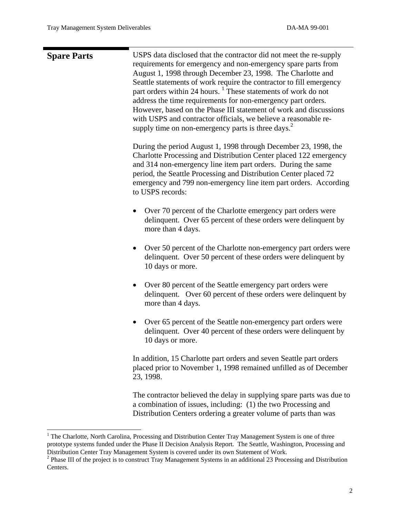| <b>Spare Parts</b> | USPS data disclosed that the contractor did not meet the re-supply<br>requirements for emergency and non-emergency spare parts from<br>August 1, 1998 through December 23, 1998. The Charlotte and<br>Seattle statements of work require the contractor to fill emergency<br>part orders within 24 hours. <sup>1</sup> These statements of work do not<br>address the time requirements for non-emergency part orders.<br>However, based on the Phase III statement of work and discussions<br>with USPS and contractor officials, we believe a reasonable re-<br>supply time on non-emergency parts is three days. <sup>2</sup> |
|--------------------|----------------------------------------------------------------------------------------------------------------------------------------------------------------------------------------------------------------------------------------------------------------------------------------------------------------------------------------------------------------------------------------------------------------------------------------------------------------------------------------------------------------------------------------------------------------------------------------------------------------------------------|
|                    | During the period August 1, 1998 through December 23, 1998, the<br>Charlotte Processing and Distribution Center placed 122 emergency<br>and 314 non-emergency line item part orders. During the same<br>period, the Seattle Processing and Distribution Center placed 72<br>emergency and 799 non-emergency line item part orders. According<br>to USPS records:                                                                                                                                                                                                                                                                 |
|                    | Over 70 percent of the Charlotte emergency part orders were<br>delinquent. Over 65 percent of these orders were delinquent by<br>more than 4 days.                                                                                                                                                                                                                                                                                                                                                                                                                                                                               |
|                    | Over 50 percent of the Charlotte non-emergency part orders were<br>$\bullet$<br>delinquent. Over 50 percent of these orders were delinquent by<br>10 days or more.                                                                                                                                                                                                                                                                                                                                                                                                                                                               |
|                    | Over 80 percent of the Seattle emergency part orders were<br>delinquent. Over 60 percent of these orders were delinquent by<br>more than 4 days.                                                                                                                                                                                                                                                                                                                                                                                                                                                                                 |
|                    | Over 65 percent of the Seattle non-emergency part orders were<br>$\bullet$<br>delinquent. Over 40 percent of these orders were delinquent by<br>10 days or more.                                                                                                                                                                                                                                                                                                                                                                                                                                                                 |
|                    | In addition, 15 Charlotte part orders and seven Seattle part orders<br>placed prior to November 1, 1998 remained unfilled as of December<br>23, 1998.                                                                                                                                                                                                                                                                                                                                                                                                                                                                            |
|                    | The contractor believed the delay in supplying spare parts was due to                                                                                                                                                                                                                                                                                                                                                                                                                                                                                                                                                            |

a combination of issues, including: (1) the two Processing and Distribution Centers ordering a greater volume of parts than was

<span id="page-1-0"></span> $\frac{1}{1}$ <sup>1</sup> The Charlotte, North Carolina, Processing and Distribution Center Tray Management System is one of three prototype systems funded under the Phase II Decision Analysis Report. The Seattle, Washington, Processing and Distribution Center Tray Management System is covered under its own Statement of Work. 2

<span id="page-1-1"></span><sup>&</sup>lt;sup>2</sup> Phase III of the project is to construct Tray Management Systems in an additional 23 Processing and Distribution Centers.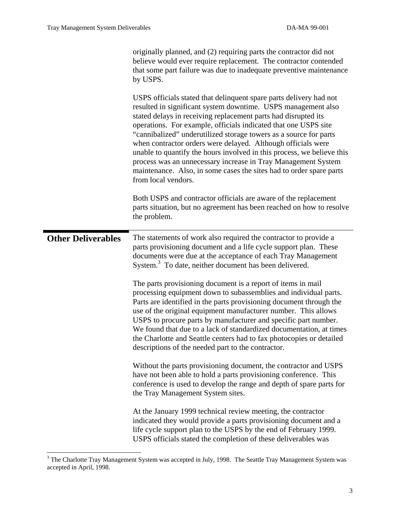|                           | originally planned, and (2) requiring parts the contractor did not<br>believe would ever require replacement. The contractor contended<br>that some part failure was due to inadequate preventive maintenance<br>by USPS.<br>USPS officials stated that delinquent spare parts delivery had not<br>resulted in significant system downtime. USPS management also<br>stated delays in receiving replacement parts had disrupted its<br>operations. For example, officials indicated that one USPS site<br>"cannibalized" underutilized storage towers as a source for parts<br>when contractor orders were delayed. Although officials were<br>unable to quantify the hours involved in this process, we believe this<br>process was an unnecessary increase in Tray Management System<br>maintenance. Also, in some cases the sites had to order spare parts<br>from local vendors. |
|---------------------------|-------------------------------------------------------------------------------------------------------------------------------------------------------------------------------------------------------------------------------------------------------------------------------------------------------------------------------------------------------------------------------------------------------------------------------------------------------------------------------------------------------------------------------------------------------------------------------------------------------------------------------------------------------------------------------------------------------------------------------------------------------------------------------------------------------------------------------------------------------------------------------------|
|                           | Both USPS and contractor officials are aware of the replacement<br>parts situation, but no agreement has been reached on how to resolve<br>the problem.                                                                                                                                                                                                                                                                                                                                                                                                                                                                                                                                                                                                                                                                                                                             |
| <b>Other Deliverables</b> | The statements of work also required the contractor to provide a<br>parts provisioning document and a life cycle support plan. These<br>documents were due at the acceptance of each Tray Management<br>System. <sup>3</sup> To date, neither document has been delivered.                                                                                                                                                                                                                                                                                                                                                                                                                                                                                                                                                                                                          |
|                           | The parts provisioning document is a report of items in mail<br>processing equipment down to subassemblies and individual parts.<br>Parts are identified in the parts provisioning document through the<br>use of the original equipment manufacturer number. This allows<br>USPS to procure parts by manufacturer and specific part number.<br>We found that due to a lack of standardized documentation, at times<br>the Charlotte and Seattle centers had to fax photocopies or detailed<br>descriptions of the needed part to the contractor.                                                                                                                                                                                                                                                                                                                                   |
|                           | Without the parts provisioning document, the contractor and USPS<br>have not been able to hold a parts provisioning conference. This<br>conference is used to develop the range and depth of spare parts for<br>the Tray Management System sites.                                                                                                                                                                                                                                                                                                                                                                                                                                                                                                                                                                                                                                   |
|                           | At the January 1999 technical review meeting, the contractor<br>indicated they would provide a parts provisioning document and a<br>life cycle support plan to the USPS by the end of February 1999.<br>USPS officials stated the completion of these deliverables was                                                                                                                                                                                                                                                                                                                                                                                                                                                                                                                                                                                                              |

<span id="page-2-0"></span> <sup>3</sup> <sup>3</sup> The Charlotte Tray Management System was accepted in July, 1998. The Seattle Tray Management System was accepted in April, 1998.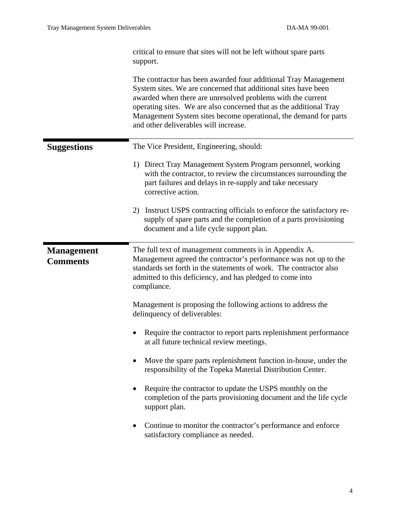|                                      | critical to ensure that sites will not be left without spare parts<br>support.                                                                                                                                                                                                                                                                                                      |
|--------------------------------------|-------------------------------------------------------------------------------------------------------------------------------------------------------------------------------------------------------------------------------------------------------------------------------------------------------------------------------------------------------------------------------------|
|                                      | The contractor has been awarded four additional Tray Management<br>System sites. We are concerned that additional sites have been<br>awarded when there are unresolved problems with the current<br>operating sites. We are also concerned that as the additional Tray<br>Management System sites become operational, the demand for parts<br>and other deliverables will increase. |
| <b>Suggestions</b>                   | The Vice President, Engineering, should:                                                                                                                                                                                                                                                                                                                                            |
|                                      | 1) Direct Tray Management System Program personnel, working<br>with the contractor, to review the circumstances surrounding the<br>part failures and delays in re-supply and take necessary<br>corrective action.                                                                                                                                                                   |
|                                      | Instruct USPS contracting officials to enforce the satisfactory re-<br>2)<br>supply of spare parts and the completion of a parts provisioning<br>document and a life cycle support plan.                                                                                                                                                                                            |
| <b>Management</b><br><b>Comments</b> | The full text of management comments is in Appendix A.<br>Management agreed the contractor's performance was not up to the<br>standards set forth in the statements of work. The contractor also<br>admitted to this deficiency, and has pledged to come into<br>compliance.                                                                                                        |
|                                      | Management is proposing the following actions to address the<br>delinquency of deliverables:                                                                                                                                                                                                                                                                                        |
|                                      |                                                                                                                                                                                                                                                                                                                                                                                     |
|                                      | Require the contractor to report parts replenishment performance<br>at all future technical review meetings.                                                                                                                                                                                                                                                                        |
|                                      | Move the spare parts replenishment function in-house, under the<br>responsibility of the Topeka Material Distribution Center.                                                                                                                                                                                                                                                       |
|                                      | Require the contractor to update the USPS monthly on the<br>completion of the parts provisioning document and the life cycle<br>support plan.                                                                                                                                                                                                                                       |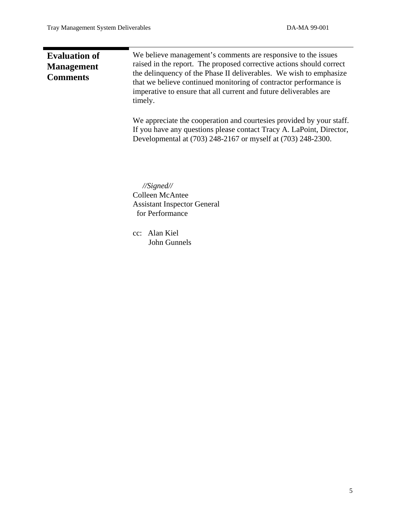т

| <b>Evaluation of</b><br><b>Management</b><br><b>Comments</b> | We believe management's comments are responsive to the issues<br>raised in the report. The proposed corrective actions should correct<br>the delinquency of the Phase II deliverables. We wish to emphasize<br>that we believe continued monitoring of contractor performance is<br>imperative to ensure that all current and future deliverables are<br>timely. |
|--------------------------------------------------------------|------------------------------------------------------------------------------------------------------------------------------------------------------------------------------------------------------------------------------------------------------------------------------------------------------------------------------------------------------------------|
|                                                              | We appreciate the cooperation and courtesies provided by your staff.<br>If you have any questions please contact Tracy A. LaPoint, Director,<br>Developmental at (703) 248-2167 or myself at (703) 248-2300.                                                                                                                                                     |
|                                                              | $\frac{1}{Sigened}$<br><b>Colleen McAntee</b><br><b>Assistant Inspector General</b><br>for Performance<br>cc: Alan Kiel<br>John Gunnels                                                                                                                                                                                                                          |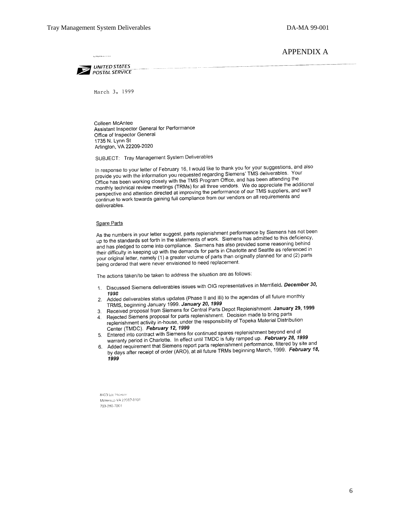## APPENDIX A

**UNITED STATES** POSTAL SERVICE

March 3, 1999

Colleen McAntee Assistant Inspector General for Performance Office of Inspector General 1735 N. Lynn St Arlington, VA 22209-2020

SUBJECT: Tray Management System Deliverables

In response to your letter of February 16, I would like to thank you for your suggestions, and also provide you with the information you requested regarding Siemens' TMS deliverables. Your<br>provide you with the information you requested regarding Siemens' TMS deliverables. Your provide you with the information you requested regarding Science. and has been attending the<br>Office has been working closely with the TMS Program Office, and has been attending the Office has been working closely with the TMS Program Since, and has been were the additional<br>monthly technical review meetings (TRMs) for all three vendors. We do appreciate the additional monthly technical review meetings (TRWS) for all three venturity. We all the suppliers, and we'll<br>perspective and attention directed at improving the performance of our TMS suppliers, and we'll continue to work towards gaining full compliance from our vendors on all requirements and deliverables.

## Spare Parts

As the numbers in your letter suggest, parts replenishment performance by Siemens has not been As the numbers in your letter suggest, parts replementing the performance by control to this deficiency,<br>up to the standards set forth in the statements of work. Siemens has admitted to this deficiency, and has pledged to come into compliance. Siemens has also provided some reasoning behind<br>and has pledged to come into compliance. Siemens has also provided some reasoning behind their difficulty in keeping up with the demands for parts in Charlotte and Seattle as referenced in<br>their difficulty in keeping up with the demands for parts in Charlotte and Seattle as referenced in their difficulty in keeping up with the definance for parts in Originally planned for and (2) parts<br>your original letter, namely (1) a greater volume of parts than originally planned for and (2) parts being ordered that were never envisioned to need replacement.

The actions taken/to be taken to address the situation are as follows:

- 1. Discussed Siemens deliverables issues with OIG representatives in Merrifield. December 30, 1998
- 1998<br>2. Added deliverables status updates (Phase II and III) to the agendas of all future monthly TRMS, beginning January 1999. January 20, 1999
- TRMS, beginning January 1999. January 20, 1999<br>Received proposal from Siemens for Central Parts Depot Replenishment. January 29, 1999  $3<sub>1</sub>$
- 4. Received proposal from Siemens to Schlich Processor Department on the Rejected Siemens proposal for parts replenishment. Decision made to bring parts Rejected Siemens proposarior parts replends that the conduct that we want Distribution replenishment activity in-house, under the responsibility of Topeka Material Distribution Center (TMDC). February 12, 1999
- Center (TMDC). February 12, 1999<br>5. Entered into contract with Siemens for continued spares replenishment beyond end of Entered into contract with Siemen's for continued spaces representative. February 28, 1999<br>warranty period in Charlotte. In effect until TMDC is fully ramped up. February 28, 1999
- Added requirement that Siemens report parts replenshment performance, filtered by site and<br>Added requirement that Siemens report parts replenshment performance, filtered by site and 6. Added requirement that Siemens report parts replemention performance, 1999. February 18,<br>by days after receipt of order (ARO), at all future TRMs beginning March, 1999. February 18, 1999

8403 LEE HIGHWAY MERRIFIELD VA 22082-8101 703-280-7001